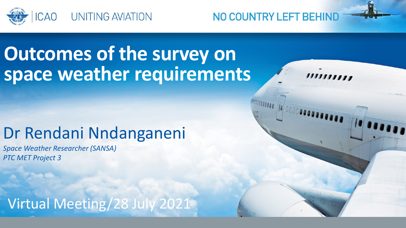

## **Outcomes of the survey on space weather requirements**

## Dr Rendani Nndanganeni

*Space Weather Researcher (SANSA) PTC MET Project 3*

Virtual Meeting/28 July 2021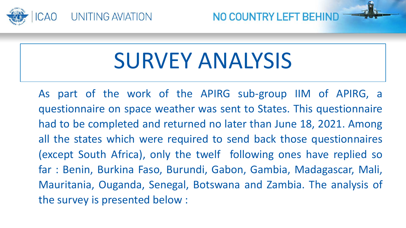

# SURVEY ANALYSIS

As part of the work of the APIRG sub-group IIM of APIRG, a questionnaire on space weather was sent to States. This questionnaire had to be completed and returned no later than June 18, 2021. Among all the states which were required to send back those questionnaires (except South Africa), only the twelf following ones have replied so far : Benin, Burkina Faso, Burundi, Gabon, Gambia, Madagascar, Mali, Mauritania, Ouganda, Senegal, Botswana and Zambia. The analysis of the survey is presented below :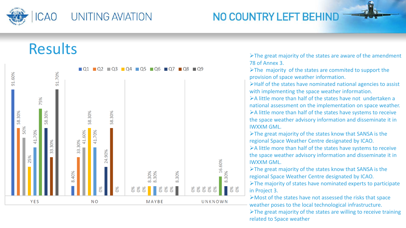

### Results



The great majority of the states are aware of the amendment 78 of Annex 3.

 $\blacktriangleright$ The majority of the states are commited to support the provision of space weather information.

Half of the states have nominated national agencies to assist with implementing the space weather information.

 $\triangleright$  A little more than half of the states have not undertaken a national assessment on the implementation on space weather. A little more than half of the states have systems to receive the space weather advisory information and disseminate it in IWXXM GML.

The great majority of the states know that SANSA is the regional Space Weather Centre designated by ICAO.

A little more than half of the states have systems to receive the space weather advisory information and disseminate it in IWXXM GML.

The great majority of the states know that SANSA is the regional Space Weather Centre designated by ICAO.

The majority of states have nominated experts to participate in Project 3.

Most of the states have not assessed the risks that space weather poses to the local technological infrastructure.

The great majority of the states are willing to receive training related to Space weather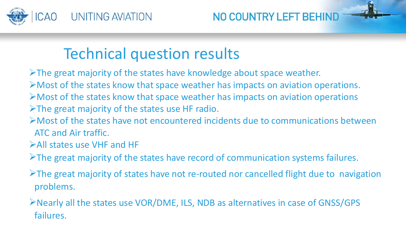

## Technical question results

 $\triangleright$  The great majority of the states have knowledge about space weather. Most of the states know that space weather has impacts on aviation operations.  $\triangleright$  Most of the states know that space weather has impacts on aviation operations The great majority of the states use HF radio.

- Most of the states have not encountered incidents due to communications between ATC and Air traffic.
- All states use VHF and HF
- $\triangleright$  The great majority of the states have record of communication systems failures.
- $\triangleright$  The great majority of states have not re-routed nor cancelled flight due to navigation problems.

Nearly all the states use VOR/DME, ILS, NDB as alternatives in case of GNSS/GPS failures.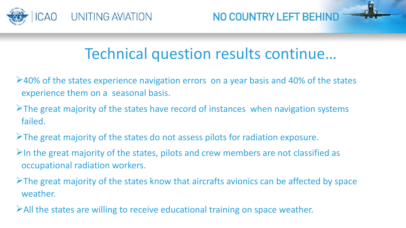

## Technical question results continue…

- $\blacktriangleright$  40% of the states experience navigation errors on a year basis and 40% of the states experience them on a seasonal basis.
- $\triangleright$ The great majority of the states have record of instances when navigation systems failed.
- $\triangleright$ The great majority of the states do not assess pilots for radiation exposure.
- $\triangleright$ In the great majority of the states, pilots and crew members are not classified as occupational radiation workers.
- $\triangleright$ The great majority of the states know that aircrafts avionics can be affected by space weather.
- All the states are willing to receive educational training on space weather.